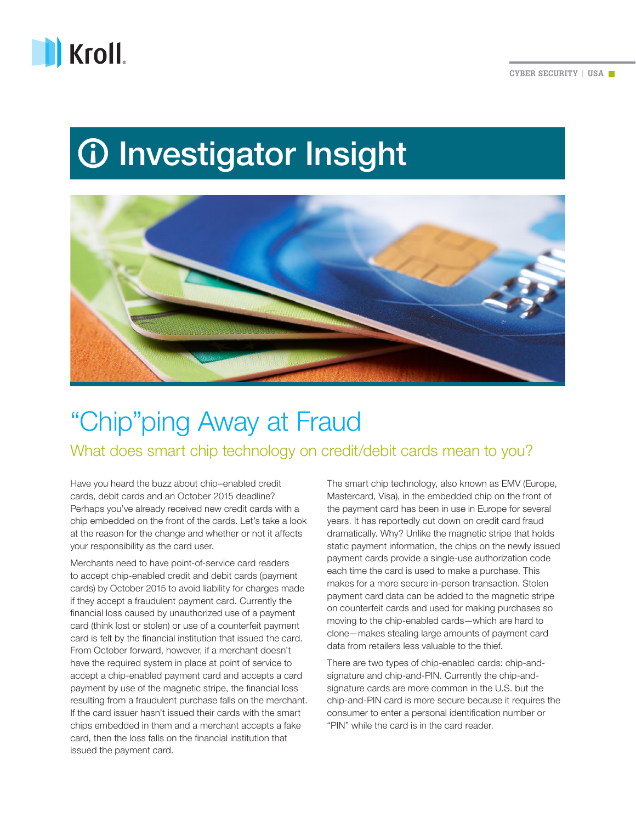

## *<u>O* Investigator Insight</u>



## "Chip"ping Away at Fraud

What does smart chip technology on credit/debit cards mean to you?

Have you heard the buzz about chip–enabled credit cards, debit cards and an October 2015 deadline? Perhaps you've already received new credit cards with a chip embedded on the front of the cards. Let's take a look at the reason for the change and whether or not it affects your responsibility as the card user.

Merchants need to have point-of-service card readers to accept chip-enabled credit and debit cards (payment cards) by October 2015 to avoid liability for charges made if they accept a fraudulent payment card. Currently the financial loss caused by unauthorized use of a payment card (think lost or stolen) or use of a counterfeit payment card is felt by the financial institution that issued the card. From October forward, however, if a merchant doesn't have the required system in place at point of service to accept a chip-enabled payment card and accepts a card payment by use of the magnetic stripe, the financial loss resulting from a fraudulent purchase falls on the merchant. If the card issuer hasn't issued their cards with the smart chips embedded in them and a merchant accepts a fake card, then the loss falls on the financial institution that issued the payment card.

The smart chip technology, also known as EMV (Europe, Mastercard, Visa), in the embedded chip on the front of the payment card has been in use in Europe for several years. It has reportedly cut down on credit card fraud dramatically. Why? Unlike the magnetic stripe that holds static payment information, the chips on the newly issued payment cards provide a single-use authorization code each time the card is used to make a purchase. This makes for a more secure in-person transaction. Stolen payment card data can be added to the magnetic stripe on counterfeit cards and used for making purchases so moving to the chip-enabled cards—which are hard to clone—makes stealing large amounts of payment card data from retailers less valuable to the thief.

There are two types of chip-enabled cards: chip-andsignature and chip-and-PIN. Currently the chip-andsignature cards are more common in the U.S. but the chip-and-PIN card is more secure because it requires the consumer to enter a personal identification number or "PIN" while the card is in the card reader.